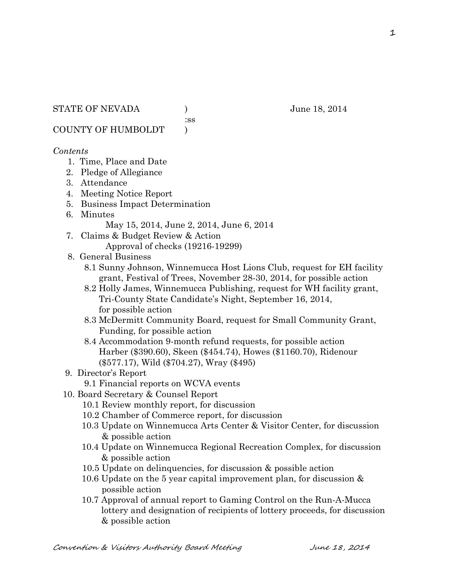:ss

COUNTY OF HUMBOLDT )

## *Contents*

- 1. Time, Place and Date
- 2. Pledge of Allegiance
- 3. Attendance
- 4. Meeting Notice Report
- 5. Business Impact Determination
- 6. Minutes
	- May 15, 2014, June 2, 2014, June 6, 2014
- 7. Claims & Budget Review & Action Approval of checks (19216-19299)
- 8. General Business
	- 8.1 Sunny Johnson, Winnemucca Host Lions Club, request for EH facility grant, Festival of Trees, November 28-30, 2014, for possible action
	- 8.2 Holly James, Winnemucca Publishing, request for WH facility grant, Tri-County State Candidate's Night, September 16, 2014, for possible action
	- 8.3 McDermitt Community Board, request for Small Community Grant, Funding, for possible action
	- 8.4 Accommodation 9-month refund requests, for possible action Harber (\$390.60), Skeen (\$454.74), Howes (\$1160.70), Ridenour (\$577.17), Wild (\$704.27), Wray (\$495)
- 9. Director's Report
	- 9.1 Financial reports on WCVA events
- 10. Board Secretary & Counsel Report
	- 10.1 Review monthly report, for discussion
	- 10.2 Chamber of Commerce report, for discussion
	- 10.3 Update on Winnemucca Arts Center & Visitor Center, for discussion & possible action
	- 10.4 Update on Winnemucca Regional Recreation Complex, for discussion & possible action
	- 10.5 Update on delinquencies, for discussion & possible action
	- 10.6 Update on the 5 year capital improvement plan, for discussion & possible action
	- 10.7 Approval of annual report to Gaming Control on the Run-A-Mucca lottery and designation of recipients of lottery proceeds, for discussion & possible action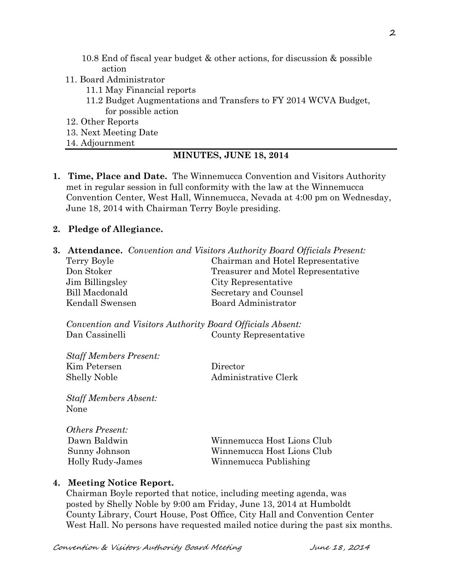- 10.8 End of fiscal year budget & other actions, for discussion & possible action
- 11. Board Administrator
	- 11.1 May Financial reports
	- 11.2 Budget Augmentations and Transfers to FY 2014 WCVA Budget, for possible action
- 12. Other Reports
- 13. Next Meeting Date
- 14. Adjournment

### **MINUTES, JUNE 18, 2014**

**1. Time, Place and Date.** The Winnemucca Convention and Visitors Authority met in regular session in full conformity with the law at the Winnemucca Convention Center, West Hall, Winnemucca, Nevada at 4:00 pm on Wednesday, June 18, 2014 with Chairman Terry Boyle presiding.

#### **2. Pledge of Allegiance.**

**3. Attendance.** *Convention and Visitors Authority Board Officials Present:* Terry Boyle Chairman and Hotel Representative Don Stoker Treasurer and Motel Representative Jim Billingsley City Representative Bill Macdonald Secretary and Counsel Kendall Swensen Board Administrator

*Convention and Visitors Authority Board Officials Absent:* Dan Cassinelli County Representative

| Director             |
|----------------------|
| Administrative Clerk |
|                      |

*Staff Members Absent:* None

| <i><b>Others Present:</b></i> |                            |
|-------------------------------|----------------------------|
| Dawn Baldwin                  | Winnemucca Host Lions Club |
| Sunny Johnson                 | Winnemucca Host Lions Club |
| Holly Rudy-James              | Winnemucca Publishing      |
|                               |                            |

#### **4. Meeting Notice Report.**

Chairman Boyle reported that notice, including meeting agenda, was posted by Shelly Noble by 9:00 am Friday, June 13, 2014 at Humboldt County Library, Court House, Post Office, City Hall and Convention Center West Hall. No persons have requested mailed notice during the past six months.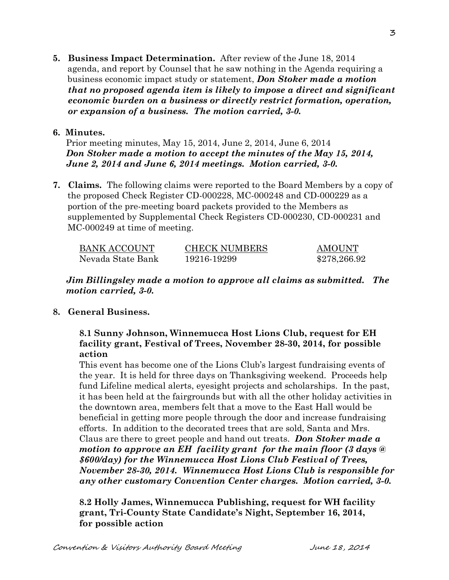**5. Business Impact Determination.** After review of the June 18, 2014 agenda, and report by Counsel that he saw nothing in the Agenda requiring a business economic impact study or statement, *Don Stoker made a motion that no proposed agenda item is likely to impose a direct and significant economic burden on a business or directly restrict formation, operation, or expansion of a business. The motion carried, 3-0.* 

### **6. Minutes.**

Prior meeting minutes, May 15, 2014, June 2, 2014, June 6, 2014 *Don Stoker made a motion to accept the minutes of the May 15, 2014, June 2, 2014 and June 6, 2014 meetings. Motion carried, 3-0.* 

**7. Claims.** The following claims were reported to the Board Members by a copy of the proposed Check Register CD-000228, MC-000248 and CD-000229 as a portion of the pre-meeting board packets provided to the Members as supplemented by Supplemental Check Registers CD-000230, CD-000231 and MC-000249 at time of meeting.

| <b>BANK ACCOUNT</b> | <b>CHECK NUMBERS</b> | <b>AMOUNT</b> |
|---------------------|----------------------|---------------|
| Nevada State Bank   | 19216-19299          | \$278,266.92  |

*Jim Billingsley made a motion to approve all claims as submitted. The motion carried, 3-0.*

## **8. General Business.**

## **8.1 Sunny Johnson, Winnemucca Host Lions Club, request for EH facility grant, Festival of Trees, November 28-30, 2014, for possible action**

This event has become one of the Lions Club's largest fundraising events of the year. It is held for three days on Thanksgiving weekend. Proceeds help fund Lifeline medical alerts, eyesight projects and scholarships. In the past, it has been held at the fairgrounds but with all the other holiday activities in the downtown area, members felt that a move to the East Hall would be beneficial in getting more people through the door and increase fundraising efforts. In addition to the decorated trees that are sold, Santa and Mrs. Claus are there to greet people and hand out treats. *Don Stoker made a motion to approve an EH facility grant for the main floor (3 days @ \$600/day) for the Winnemucca Host Lions Club Festival of Trees, November 28-30, 2014. Winnemucca Host Lions Club is responsible for any other customary Convention Center charges. Motion carried, 3-0.*

 **8.2 Holly James, Winnemucca Publishing, request for WH facility grant, Tri-County State Candidate's Night, September 16, 2014, for possible action** 

3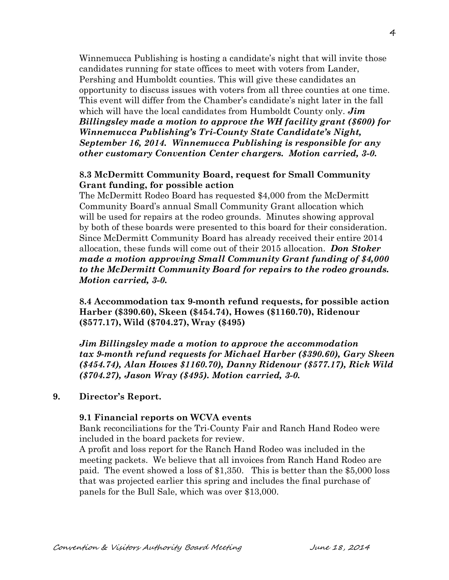Winnemucca Publishing is hosting a candidate's night that will invite those candidates running for state offices to meet with voters from Lander, Pershing and Humboldt counties. This will give these candidates an opportunity to discuss issues with voters from all three counties at one time. This event will differ from the Chamber's candidate's night later in the fall which will have the local candidates from Humboldt County only. *Jim Billingsley made a motion to approve the WH facility grant (\$600) for Winnemucca Publishing's Tri-County State Candidate's Night, September 16, 2014. Winnemucca Publishing is responsible for any other customary Convention Center chargers. Motion carried, 3-0.* 

### **8.3 McDermitt Community Board, request for Small Community Grant funding, for possible action**

The McDermitt Rodeo Board has requested \$4,000 from the McDermitt Community Board's annual Small Community Grant allocation which will be used for repairs at the rodeo grounds. Minutes showing approval by both of these boards were presented to this board for their consideration. Since McDermitt Community Board has already received their entire 2014 allocation, these funds will come out of their 2015 allocation. *Don Stoker made a motion approving Small Community Grant funding of \$4,000 to the McDermitt Community Board for repairs to the rodeo grounds. Motion carried, 3-0.*

**8.4 Accommodation tax 9-month refund requests, for possible action Harber (\$390.60), Skeen (\$454.74), Howes (\$1160.70), Ridenour (\$577.17), Wild (\$704.27), Wray (\$495)**

*Jim Billingsley made a motion to approve the accommodation tax 9-month refund requests for Michael Harber (\$390.60), Gary Skeen (\$454.74), Alan Howes \$1160.70), Danny Ridenour (\$577.17), Rick Wild (\$704.27), Jason Wray (\$495). Motion carried, 3-0.*

### **9. Director's Report.**

#### **9.1 Financial reports on WCVA events**

Bank reconciliations for the Tri-County Fair and Ranch Hand Rodeo were included in the board packets for review.

A profit and loss report for the Ranch Hand Rodeo was included in the meeting packets. We believe that all invoices from Ranch Hand Rodeo are paid. The event showed a loss of \$1,350. This is better than the \$5,000 loss that was projected earlier this spring and includes the final purchase of panels for the Bull Sale, which was over \$13,000.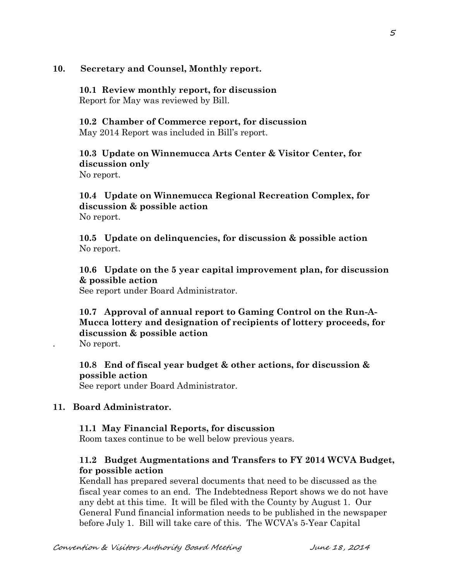### **10. Secretary and Counsel, Monthly report.**

**10.1 Review monthly report, for discussion** Report for May was reviewed by Bill.

**10.2 Chamber of Commerce report, for discussion** May 2014 Report was included in Bill's report.

**10.3 Update on Winnemucca Arts Center & Visitor Center, for discussion only**

No report.

## **10.4 Update on Winnemucca Regional Recreation Complex, for discussion & possible action** No report.

**10.5 Update on delinquencies, for discussion & possible action** No report.

**10.6 Update on the 5 year capital improvement plan, for discussion & possible action**

See report under Board Administrator.

# **10.7 Approval of annual report to Gaming Control on the Run-A-Mucca lottery and designation of recipients of lottery proceeds, for discussion & possible action**

. No report.

**10.8 End of fiscal year budget & other actions, for discussion & possible action** See report under Board Administrator.

### **11. Board Administrator.**

## **11.1 May Financial Reports, for discussion**

Room taxes continue to be well below previous years.

## **11.2 Budget Augmentations and Transfers to FY 2014 WCVA Budget, for possible action**

Kendall has prepared several documents that need to be discussed as the fiscal year comes to an end. The Indebtedness Report shows we do not have any debt at this time. It will be filed with the County by August 1. Our General Fund financial information needs to be published in the newspaper before July 1. Bill will take care of this. The WCVA's 5-Year Capital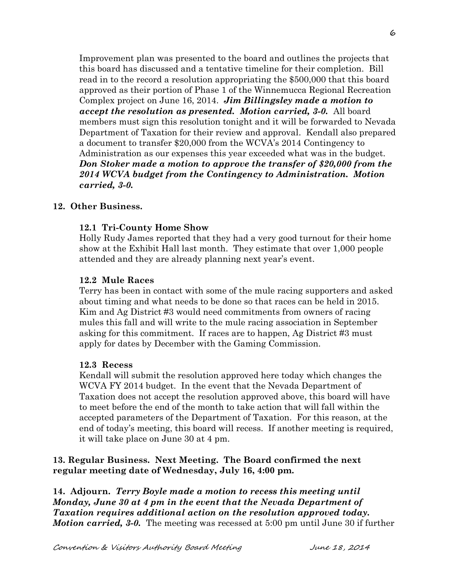Improvement plan was presented to the board and outlines the projects that this board has discussed and a tentative timeline for their completion. Bill read in to the record a resolution appropriating the \$500,000 that this board approved as their portion of Phase 1 of the Winnemucca Regional Recreation Complex project on June 16, 2014. *Jim Billingsley made a motion to accept the resolution as presented. Motion carried, 3-0.* All board members must sign this resolution tonight and it will be forwarded to Nevada Department of Taxation for their review and approval. Kendall also prepared a document to transfer \$20,000 from the WCVA's 2014 Contingency to Administration as our expenses this year exceeded what was in the budget. *Don Stoker made a motion to approve the transfer of \$20,000 from the 2014 WCVA budget from the Contingency to Administration. Motion carried, 3-0.* 

### **12. Other Business.**

### **12.1 Tri-County Home Show**

Holly Rudy James reported that they had a very good turnout for their home show at the Exhibit Hall last month. They estimate that over 1,000 people attended and they are already planning next year's event.

#### **12.2 Mule Races**

Terry has been in contact with some of the mule racing supporters and asked about timing and what needs to be done so that races can be held in 2015. Kim and Ag District #3 would need commitments from owners of racing mules this fall and will write to the mule racing association in September asking for this commitment. If races are to happen, Ag District #3 must apply for dates by December with the Gaming Commission.

#### **12.3 Recess**

Kendall will submit the resolution approved here today which changes the WCVA FY 2014 budget. In the event that the Nevada Department of Taxation does not accept the resolution approved above, this board will have to meet before the end of the month to take action that will fall within the accepted parameters of the Department of Taxation. For this reason, at the end of today's meeting, this board will recess. If another meeting is required, it will take place on June 30 at 4 pm.

### **13. Regular Business. Next Meeting. The Board confirmed the next regular meeting date of Wednesday, July 16, 4:00 pm.**

**14. Adjourn.** *Terry Boyle made a motion to recess this meeting until Monday, June 30 at 4 pm in the event that the Nevada Department of Taxation requires additional action on the resolution approved today. Motion carried, 3-0.* The meeting was recessed at 5:00 pm until June 30 if further